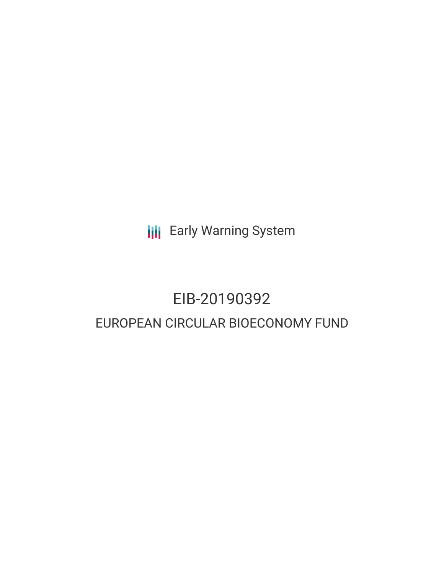**III** Early Warning System

# EIB-20190392 EUROPEAN CIRCULAR BIOECONOMY FUND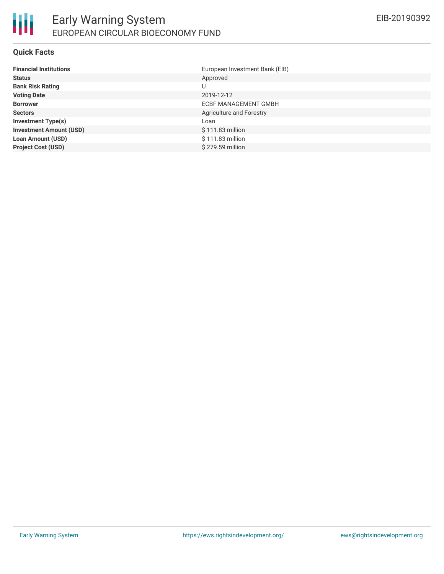#### **Quick Facts**

| <b>Financial Institutions</b>  | European Investment Bank (EIB) |
|--------------------------------|--------------------------------|
| <b>Status</b>                  | Approved                       |
| <b>Bank Risk Rating</b>        | U                              |
| <b>Voting Date</b>             | 2019-12-12                     |
| <b>Borrower</b>                | <b>ECBF MANAGEMENT GMBH</b>    |
| <b>Sectors</b>                 | Agriculture and Forestry       |
| <b>Investment Type(s)</b>      | Loan                           |
| <b>Investment Amount (USD)</b> | $$111.83$ million              |
| <b>Loan Amount (USD)</b>       | $$111.83$ million              |
| <b>Project Cost (USD)</b>      | \$279.59 million               |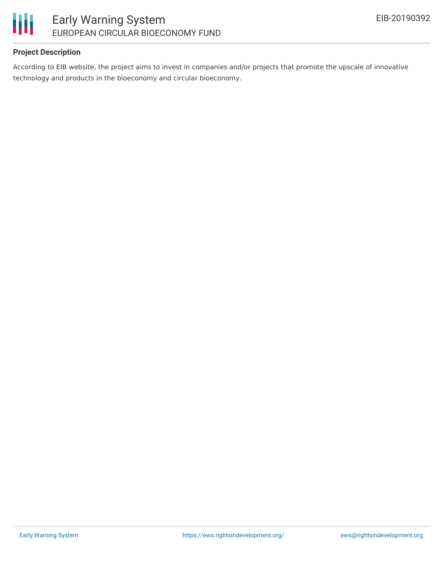

## **Project Description**

According to EIB website, the project aims to invest in companies and/or projects that promote the upscale of innovative technology and products in the bioeconomy and circular bioeconomy.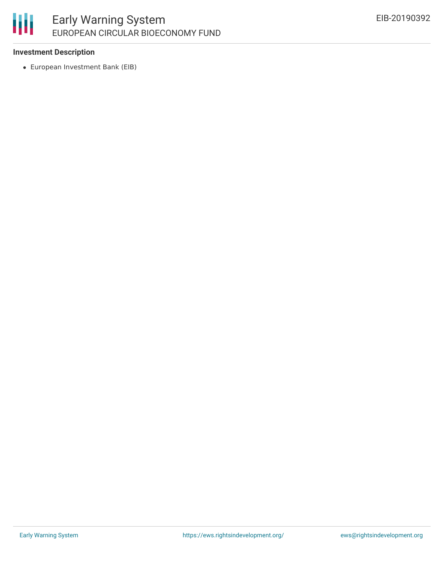## 冊 Early Warning System EUROPEAN CIRCULAR BIOECONOMY FUND

### **Investment Description**

European Investment Bank (EIB)